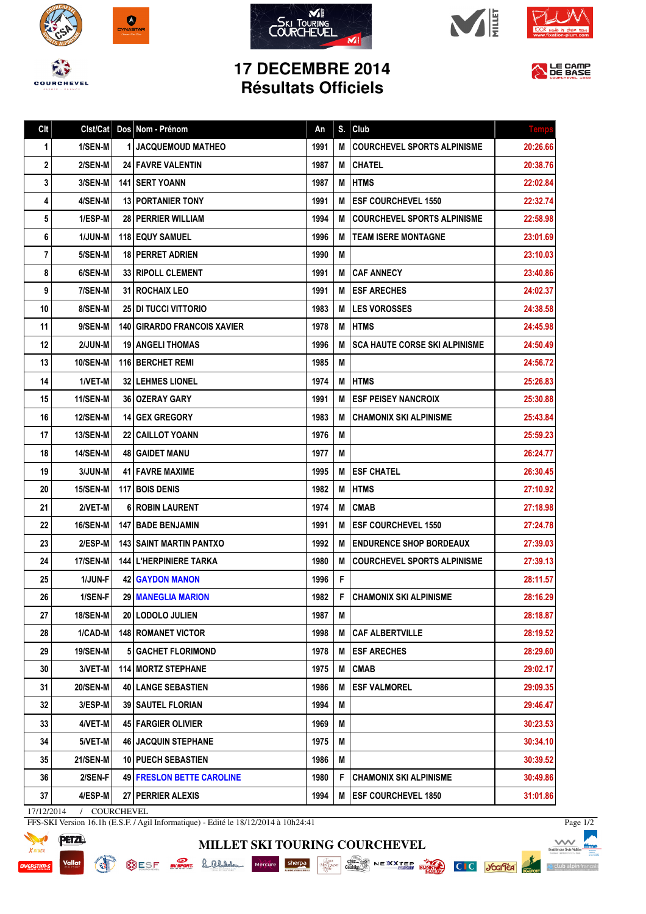









## **17 DECEMBRE 2014 Résultats Officiels**



| Clt | Clst/Cat          | Dos Nom - Prénom                   | An   | S. | Club                                 | <b>Temp:</b> |
|-----|-------------------|------------------------------------|------|----|--------------------------------------|--------------|
| 1   | 1/SEN-M           | 1 JACQUEMOUD MATHEO                | 1991 | M  | <b>COURCHEVEL SPORTS ALPINISME</b>   | 20:26.66     |
| 2   | 2/SEN-M           | <b>24 FAVRE VALENTIN</b>           | 1987 | M  | <b>CHATEL</b>                        | 20:38.76     |
| 3   | 3/SEN-M           | <b>141 I SERT YOANN</b>            | 1987 | M  | <b>HTMS</b>                          | 22:02.84     |
| 4   | 4/SEN-M           | <b>13 PORTANIER TONY</b>           | 1991 | M  | <b>ESF COURCHEVEL 1550</b>           | 22:32.74     |
| 5   | 1/ESP-M           | 28 PERRIER WILLIAM                 | 1994 | M  | <b>COURCHEVEL SPORTS ALPINISME</b>   | 22:58.98     |
| 6   | 1/JUN-M           | <b>118 EQUY SAMUEL</b>             | 1996 | M  | <b>TEAM ISERE MONTAGNE</b>           | 23:01.69     |
| 7   | 5/SEN-M           | 18 PERRET ADRIEN                   | 1990 | M  |                                      | 23:10.03     |
| 8   | 6/SEN-M           | <b>33 RIPOLL CLEMENT</b>           | 1991 | M  | <b>CAF ANNECY</b>                    | 23:40.86     |
| 9   | 7/SEN-M           | 31 ROCHAIX LEO                     | 1991 | M  | <b>ESF ARECHES</b>                   | 24:02.37     |
| 10  | 8/SEN-M           | <b>25 I DI TUCCI VITTORIO</b>      | 1983 | M  | <b>LES VOROSSES</b>                  | 24:38.58     |
| 11  | 9/SEN-M           | <b>140 GIRARDO FRANCOIS XAVIER</b> | 1978 | M  | <b>HTMS</b>                          | 24:45.98     |
| 12  | 2/JUN-M           | <b>19   ANGELI THOMAS</b>          | 1996 | M  | <b>SCA HAUTE CORSE SKI ALPINISME</b> | 24:50.49     |
| 13  | <b>10/SEN-M</b>   | 116 BERCHET REMI                   | 1985 | M  |                                      | 24:56.72     |
| 14  | 1/VET-M           | <b>32   LEHMES LIONEL</b>          | 1974 | M  | <b>HTMS</b>                          | 25:26.83     |
| 15  | <b>11/SEN-M</b>   | <b>36   OZERAY GARY</b>            | 1991 | M  | <b>ESF PEISEY NANCROIX</b>           | 25:30.88     |
| 16  | <b>12/SEN-M</b>   | <b>14 I GEX GREGORY</b>            | 1983 | M  | <b>CHAMONIX SKI ALPINISME</b>        | 25:43.84     |
| 17  | <b>13/SEN-M</b>   | <b>22   CAILLOT YOANN</b>          | 1976 | M  |                                      | 25:59.23     |
| 18  | <b>14/SEN-M</b>   | <b>48   GAIDET MANU</b>            | 1977 | M  |                                      | 26:24.77     |
| 19  | 3/JUN-M           | <b>41 FAVRE MAXIME</b>             | 1995 | M  | <b>ESF CHATEL</b>                    | 26:30.45     |
| 20  | <b>15/SEN-M</b>   | 117 BOIS DENIS                     | 1982 | M  | <b>HTMS</b>                          | 27:10.92     |
| 21  | 2/VET-M           | 6 ROBIN LAURENT                    | 1974 | M  | <b>CMAB</b>                          | 27:18.98     |
| 22  | <b>16/SEN-M</b>   | <b>147   BADE BENJAMIN</b>         | 1991 | M  | <b>ESF COURCHEVEL 1550</b>           | 27:24.78     |
| 23  | 2/ESP-M           | <b>143 SAINT MARTIN PANTXO</b>     | 1992 | M  | <b>ENDURENCE SHOP BORDEAUX</b>       | 27:39.03     |
| 24  | 17/SEN-M          | <b>144 L'HERPINIERE TARKA</b>      | 1980 | M  | <b>COURCHEVEL SPORTS ALPINISME</b>   | 27:39.13     |
| 25  | 1/JUN-F           | <b>42 GAYDON MANON</b>             | 1996 | F  |                                      | 28:11.57     |
| 26  | 1/SEN-F           | 29   MANEGLIA MARION               | 1982 | F  | <b>CHAMONIX SKI ALPINISME</b>        | 28:16.29     |
| 27  | 18/SEN-M          | 20 LODOLO JULIEN                   | 1987 | M  |                                      | 28:18.87     |
| 28  | 1/CAD-M           | <b>148 ROMANET VICTOR</b>          | 1998 | M  | <b>CAF ALBERTVILLE</b>               | 28:19.52     |
| 29  | <b>19/SEN-M</b>   | <b>5 GACHET FLORIMOND</b>          | 1978 | M  | <b>ESF ARECHES</b>                   | 28:29.60     |
| 30  | 3/VET-M           | <b>114 MORTZ STEPHANE</b>          | 1975 | Μ  | <b>CMAB</b>                          | 29:02.17     |
| 31  | <b>20/SEN-M</b>   | <b>40 LANGE SEBASTIEN</b>          | 1986 | M  | <b>ESF VALMOREL</b>                  | 29:09.35     |
| 32  | 3/ESP-M           | <b>39   SAUTEL FLORIAN</b>         | 1994 | Μ  |                                      | 29:46.47     |
| 33  | 4/VET-M           | <b>45 FARGIER OLIVIER</b>          | 1969 | M  |                                      | 30:23.53     |
| 34  | 5/VET-M           | <b>46   JACQUIN STEPHANE</b>       | 1975 | Μ  |                                      | 30:34.10     |
| 35  | <b>21/SEN-M</b>   | <b>10   PUECH SEBASTIEN</b>        | 1986 | Μ  |                                      | 30:39.52     |
| 36  | 2/SEN-F           | <b>49 FRESLON BETTE CAROLINE</b>   | 1980 | F  | <b>CHAMONIX SKI ALPINISME</b>        | 30:49.86     |
| 37  | 4/ESP-M<br>171100 | 27 PERRIER ALEXIS                  | 1994 | M  | <b>ESF COURCHEVEL 1850</b>           | 31:01.86     |

**MILLET SKI TOURING COURCHEVEL**

17/12/2014 / COURCHEVEL

EN

FFS-SKI Version 16.1h (E.S.F. / Agil Informatique) - Edité le 18/12/2014 à 10h24:41